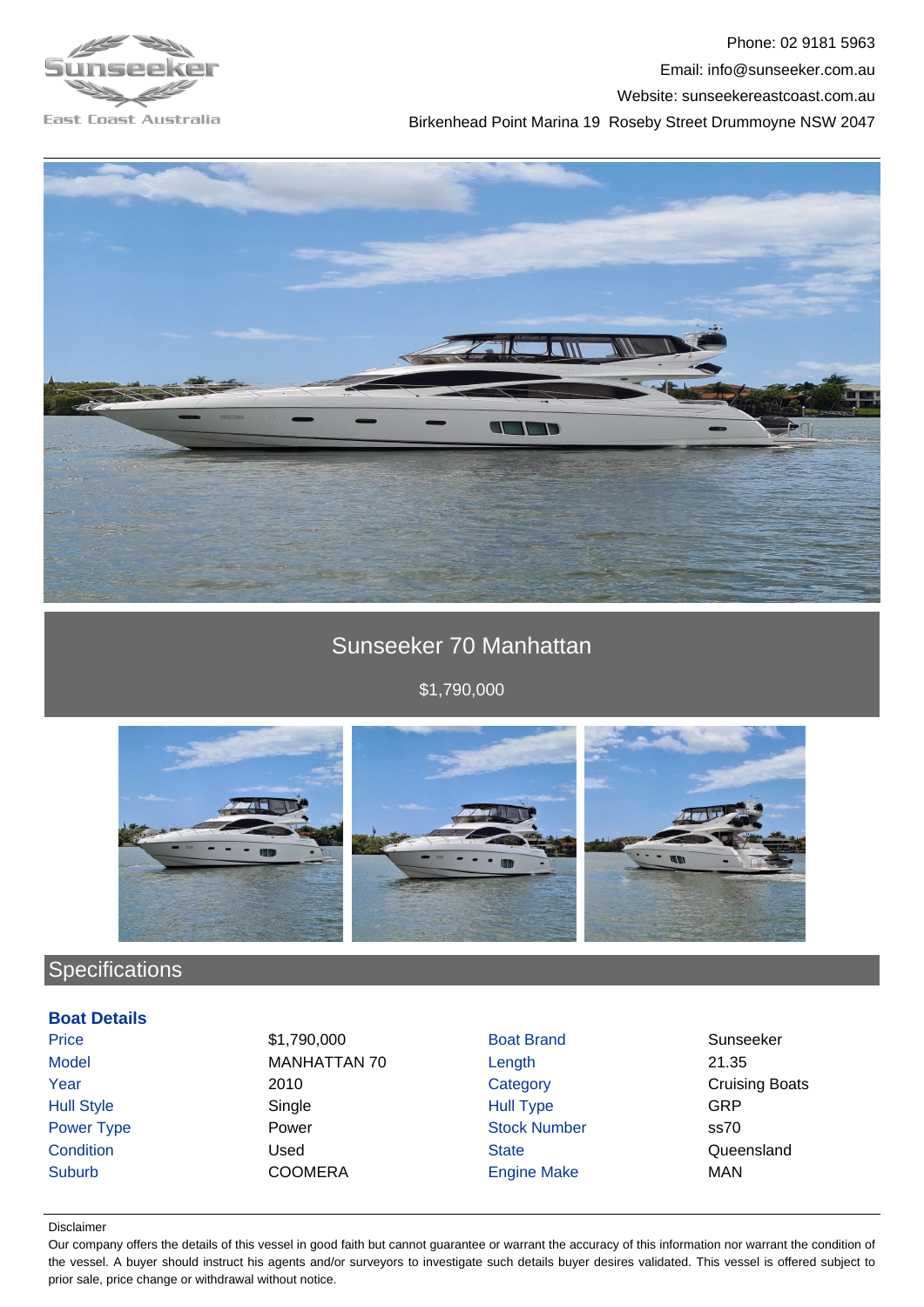

Phone: 02 9181 5963 Email: info@sunseeker.com.au Website: sunseekereastcoast.com.au Birkenhead Point Marina 19 Roseby Street Drummoyne NSW 2047





# Sunseeker 70 Manhattan

\$1,790,000



# Specifications

## **Boat Details**

Price \$1,790,000 Boat Brand Sunseeker Model MANHATTAN 70 Length 21.35 **Year** 2010 2010 Category Category Cruising Boats Hull Style Single Hull Type GRP Power Type **Power Stock Number** Stock Number ss70 Condition Condition Condition Condition Condition Condition Cueensland Suburb COOMERA Engine Make MAN

#### Disclaimer

Our company offers the details of this vessel in good faith but cannot guarantee or warrant the accuracy of this information nor warrant the condition of the vessel. A buyer should instruct his agents and/or surveyors to investigate such details buyer desires validated. This vessel is offered subject to prior sale, price change or withdrawal without notice.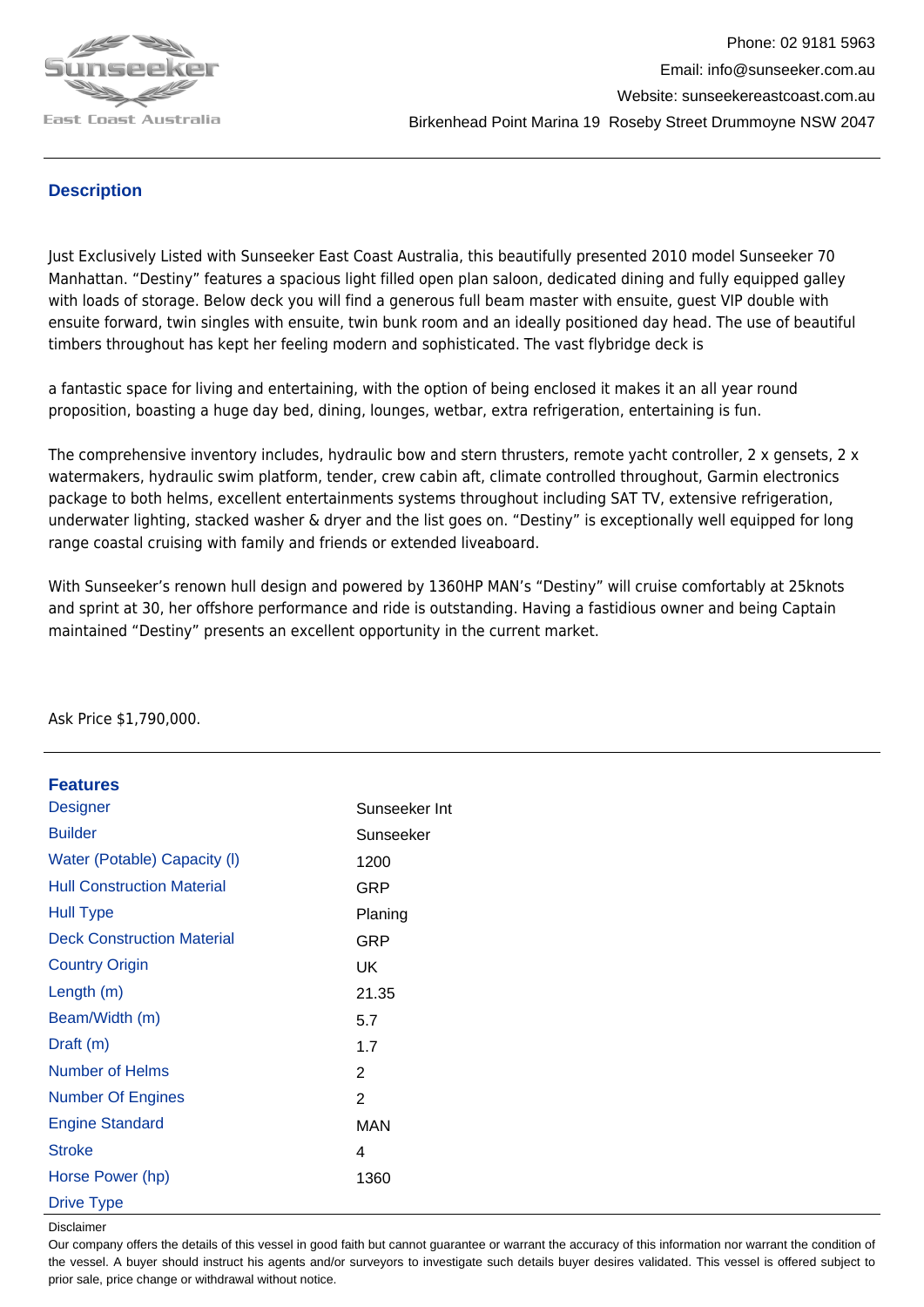

## **Description**

Just Exclusively Listed with Sunseeker East Coast Australia, this beautifully presented 2010 model Sunseeker 70 Manhattan. "Destiny" features a spacious light filled open plan saloon, dedicated dining and fully equipped galley with loads of storage. Below deck you will find a generous full beam master with ensuite, guest VIP double with ensuite forward, twin singles with ensuite, twin bunk room and an ideally positioned day head. The use of beautiful timbers throughout has kept her feeling modern and sophisticated. The vast flybridge deck is

a fantastic space for living and entertaining, with the option of being enclosed it makes it an all year round proposition, boasting a huge day bed, dining, lounges, wetbar, extra refrigeration, entertaining is fun.

The comprehensive inventory includes, hydraulic bow and stern thrusters, remote yacht controller, 2 x gensets, 2 x watermakers, hydraulic swim platform, tender, crew cabin aft, climate controlled throughout, Garmin electronics package to both helms, excellent entertainments systems throughout including SAT TV, extensive refrigeration, underwater lighting, stacked washer & dryer and the list goes on. "Destiny" is exceptionally well equipped for long range coastal cruising with family and friends or extended liveaboard.

With Sunseeker's renown hull design and powered by 1360HP MAN's "Destiny" will cruise comfortably at 25knots and sprint at 30, her offshore performance and ride is outstanding. Having a fastidious owner and being Captain maintained "Destiny" presents an excellent opportunity in the current market.

| <b>Features</b>                   |                |
|-----------------------------------|----------------|
| Designer                          | Sunseeker Int  |
| <b>Builder</b>                    | Sunseeker      |
| Water (Potable) Capacity (I)      | 1200           |
| <b>Hull Construction Material</b> | GRP            |
| <b>Hull Type</b>                  | Planing        |
| <b>Deck Construction Material</b> | GRP            |
| <b>Country Origin</b>             | UK             |
| Length (m)                        | 21.35          |
| Beam/Width (m)                    | 5.7            |
| Draft (m)                         | 1.7            |
| Number of Helms                   | 2              |
| <b>Number Of Engines</b>          | $\overline{2}$ |
| <b>Engine Standard</b>            | MAN            |
| <b>Stroke</b>                     | 4              |
| Horse Power (hp)                  | 1360           |
| <b>Drive Type</b>                 |                |

Ask Price \$1,790,000.

Disclaimer

Our company offers the details of this vessel in good faith but cannot guarantee or warrant the accuracy of this information nor warrant the condition of the vessel. A buyer should instruct his agents and/or surveyors to investigate such details buyer desires validated. This vessel is offered subject to prior sale, price change or withdrawal without notice.